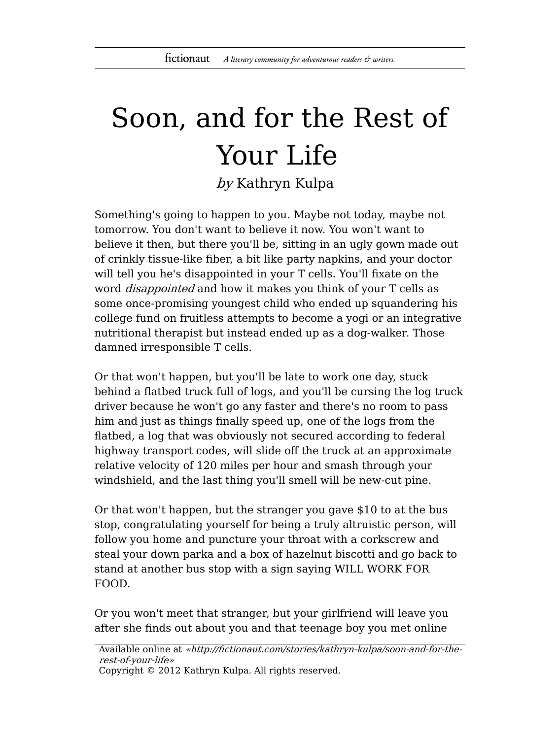## Soon, and for the Rest of Your Life

by Kathryn Kulpa

Something's going to happen to you. Maybe not today, maybe not tomorrow. You don't want to believe it now. You won't want to believe it then, but there you'll be, sitting in an ugly gown made out of crinkly tissue-like fiber, a bit like party napkins, and your doctor will tell you he's disappointed in your T cells. You'll fixate on the word *disappointed* and how it makes you think of your T cells as some once-promising youngest child who ended up squandering his college fund on fruitless attempts to become a yogi or an integrative nutritional therapist but instead ended up as a dog-walker. Those damned irresponsible T cells.

Or that won't happen, but you'll be late to work one day, stuck behind a flatbed truck full of logs, and you'll be cursing the log truck driver because he won't go any faster and there's no room to pass him and just as things finally speed up, one of the logs from the flatbed, a log that was obviously not secured according to federal highway transport codes, will slide off the truck at an approximate relative velocity of 120 miles per hour and smash through your windshield, and the last thing you'll smell will be new-cut pine.

Or that won't happen, but the stranger you gave \$10 to at the bus stop, congratulating yourself for being a truly altruistic person, will follow you home and puncture your throat with a corkscrew and steal your down parka and a box of hazelnut biscotti and go back to stand at another bus stop with a sign saying WILL WORK FOR FOOD.

Or you won't meet that stranger, but your girlfriend will leave you after she finds out about you and that teenage boy you met online